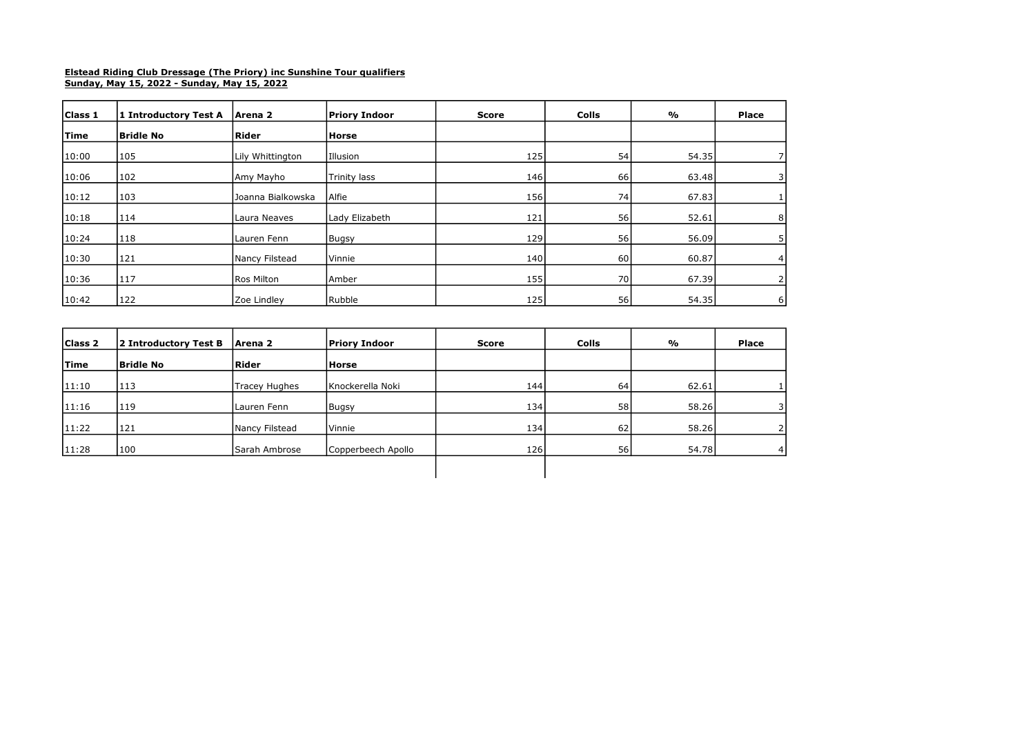## Elstead Riding Club Dressage (The Priory) inc Sunshine Tour qualifiers Sunday, May 15, 2022 - Sunday, May 15, 2022

| Class 1     | 1 Introductory Test A | Arena 2            | Priory Indoor       | <b>Score</b> | Colls | %     | Place          |
|-------------|-----------------------|--------------------|---------------------|--------------|-------|-------|----------------|
| <b>Time</b> | Bridle No             | <b>Rider</b>       | <b>Horse</b>        |              |       |       |                |
| 10:00       | 105                   | Lily Whittington   | Illusion            | 125          | 54    | 54.35 |                |
| 10:06       | 102                   | Amy Mayho          | <b>Trinity lass</b> | 146          | 66    | 63.48 | 31             |
| 10:12       | 103                   | IJoanna Bialkowska | Alfie               | 156          | 74    | 67.83 |                |
| 10:18       | 114                   | Laura Neaves       | Lady Elizabeth      | 121          | 56    | 52.61 | 8              |
| 10:24       | 118                   | Lauren Fenn        | Bugsy               | 129          | 56    | 56.09 | 5 <sub>1</sub> |
| 10:30       | 121                   | Nancy Filstead     | Vinnie              | 140          | 60    | 60.87 | 4 <sub>1</sub> |
| 10:36       | 117                   | Ros Milton         | Amber               | 155          | 70    | 67.39 | 2 <sub>1</sub> |
| 10:42       | 122                   | <b>Zoe Lindlev</b> | Rubble              | 125          | 56    | 54.35 | 6              |

| Class 2     | 2 Introductory Test B | Arena 2        | Priory Indoor      | <b>Score</b> | <b>Colls</b> | %     | Place |
|-------------|-----------------------|----------------|--------------------|--------------|--------------|-------|-------|
| <b>Time</b> | <b>Bridle No</b>      | Rider          | <b>Horse</b>       |              |              |       |       |
| 11:10       | 113                   | Tracey Hughes  | Knockerella Noki   | 144          | 64           | 62.61 |       |
| 11:16       | 119                   | Lauren Fenn    | Bugsy              | 134          | 58           | 58.26 |       |
| 11:22       | 121                   | Nancy Filstead | Vinnie             | 134          | 62           | 58.26 |       |
| 11:28       | 100                   | Sarah Ambrose  | Copperbeech Apollo | <b>126</b>   | 56           | 54.78 |       |
|             |                       |                |                    |              |              |       |       |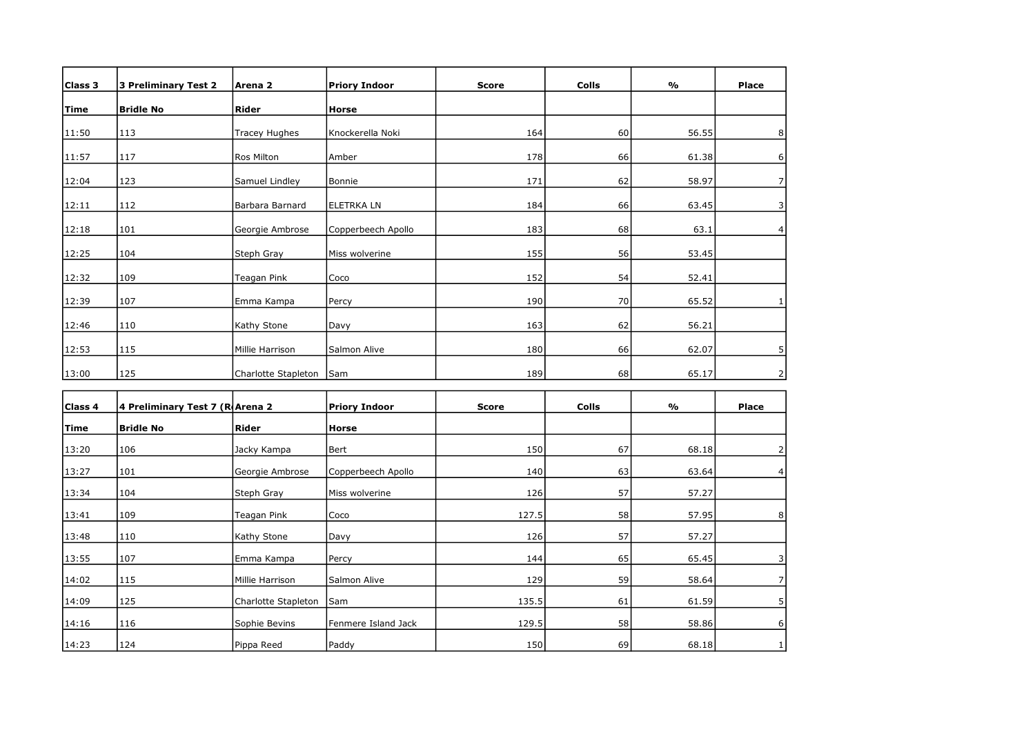| Class 3     | <b>3 Preliminary Test 2</b>     | Arena <sub>2</sub>   | <b>Priory Indoor</b> | <b>Score</b> | <b>Colls</b> | %     | <b>Place</b>   |
|-------------|---------------------------------|----------------------|----------------------|--------------|--------------|-------|----------------|
| Time        | <b>Bridle No</b>                | Rider                | Horse                |              |              |       |                |
| 11:50       | 113                             | <b>Tracey Hughes</b> | Knockerella Noki     | 164          | 60           | 56.55 | 8              |
| 11:57       | 117                             | Ros Milton           | Amber                | 178          | 66           | 61.38 | 6              |
| 12:04       | 123                             | Samuel Lindley       | Bonnie               | 171          | 62           | 58.97 | 7              |
| 12:11       | 112                             | Barbara Barnard      | ELETRKA LN           | 184          | 66           | 63.45 | 3              |
| 12:18       | 101                             | Georgie Ambrose      | Copperbeech Apollo   | 183          | 68           | 63.1  | 4              |
| 12:25       | 104                             | Steph Gray           | Miss wolverine       | 155          | 56           | 53.45 |                |
| 12:32       | 109                             | Teagan Pink          | Coco                 | 152          | 54           | 52.41 |                |
| 12:39       | 107                             | Emma Kampa           | Percy                | 190          | 70           | 65.52 | 1              |
| 12:46       | 110                             | Kathy Stone          | Davy                 | 163          | 62           | 56.21 |                |
| 12:53       | 115                             | Millie Harrison      | Salmon Alive         | 180          | 66           | 62.07 | 5              |
| 13:00       | 125                             | Charlotte Stapleton  | Sam                  | 189          | 68           | 65.17 | 2              |
|             |                                 |                      |                      |              |              |       |                |
| Class 4     | 4 Preliminary Test 7 (R Arena 2 |                      | <b>Priory Indoor</b> | <b>Score</b> | <b>Colls</b> | %     | <b>Place</b>   |
| <b>Time</b> | <b>Bridle No</b>                | Rider                | Horse                |              |              |       |                |
| 13:20       | 106                             | Jacky Kampa          | Bert                 | 150          | 67           | 68.18 | 2              |
| 13:27       | 101                             | Georgie Ambrose      | Copperbeech Apollo   | 140          | 63           | 63.64 | 4              |
| 13:34       | 104                             | Steph Gray           | Miss wolverine       | 126          | 57           | 57.27 |                |
| 13:41       | 109                             | Teagan Pink          | Coco                 | 127.5        | 58           | 57.95 | 8 <sup>1</sup> |
| 13:48       | 110                             | Kathy Stone          | Davy                 | 126          | 57           | 57.27 |                |
| 13:55       | 107                             | Emma Kampa           | Percy                | 144          | 65           | 65.45 | 3              |
| 14:02       | 115                             | Millie Harrison      | Salmon Alive         | 129          | 59           | 58.64 | $\overline{7}$ |
| 14:09       | 125                             | Charlotte Stapleton  | Sam                  | 135.5        | 61           | 61.59 | 5              |
| 14:16       | 116                             | Sophie Bevins        | Fenmere Island Jack  | 129.5        | 58           | 58.86 | $6 \mid$       |

14:23 124 Pippa Reed Paddy 150 150 69 68.18 1